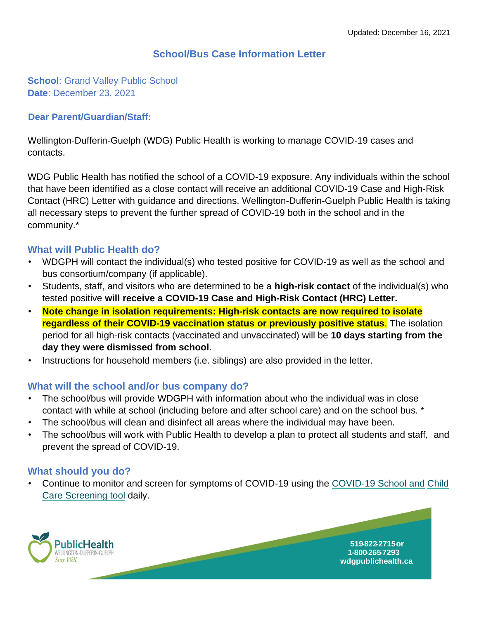## **School/Bus Case Information Letter**

**School: Grand Valley Public School Date**: December 23, 2021

#### **Dear Parent/Guardian/Staff:**

Wellington-Dufferin-Guelph (WDG) Public Health is working to manage COVID-19 cases and contacts.

WDG Public Health has notified the school of a COVID-19 exposure. Any individuals within the school that have been identified as a close contact will receive an additional COVID-19 Case and High-Risk Contact (HRC) Letter with guidance and directions. Wellington-Dufferin-Guelph Public Health is taking all necessary steps to prevent the further spread of COVID-19 both in the school and in the community.\*

#### **What will Public Health do?**

- WDGPH will contact the individual(s) who tested positive for COVID-19 as well as the school and bus consortium/company (if applicable).
- Students, staff, and visitors who are determined to be a **high-risk contact** of the individual(s) who tested positive **will receive a COVID-19 Case and High-Risk Contact (HRC) Letter.**
- **Note change in isolation requirements: High-risk contacts are now required to isolate regardless of their COVID-19 vaccination status or previously positive status**. The isolation period for all high-risk contacts (vaccinated and unvaccinated) will be **10 days starting from the day they were dismissed from school**.
- Instructions for household members (i.e. siblings) are also provided in the letter.

#### **What will the school and/or bus company do?**

- The school/bus will provide WDGPH with information about who the individual was in close contact with while at school (including before and after school care) and on the school bus. \*
- The school/bus will clean and disinfect all areas where the individual may have been.
- The school/bus will work with Public Health to develop a plan to protect all students and staff, and prevent the spread of COVID-19.

### **What should you do?**

• Continue to monitor and screen for symptoms of COVID-19 using the [COVID-19 School and](https://covid-19.ontario.ca/school-screening/) [Child](https://covid-19.ontario.ca/school-screening/)  [Care Screening tool](https://covid-19.ontario.ca/school-screening/) [d](https://covid-19.ontario.ca/school-screening/)aily.